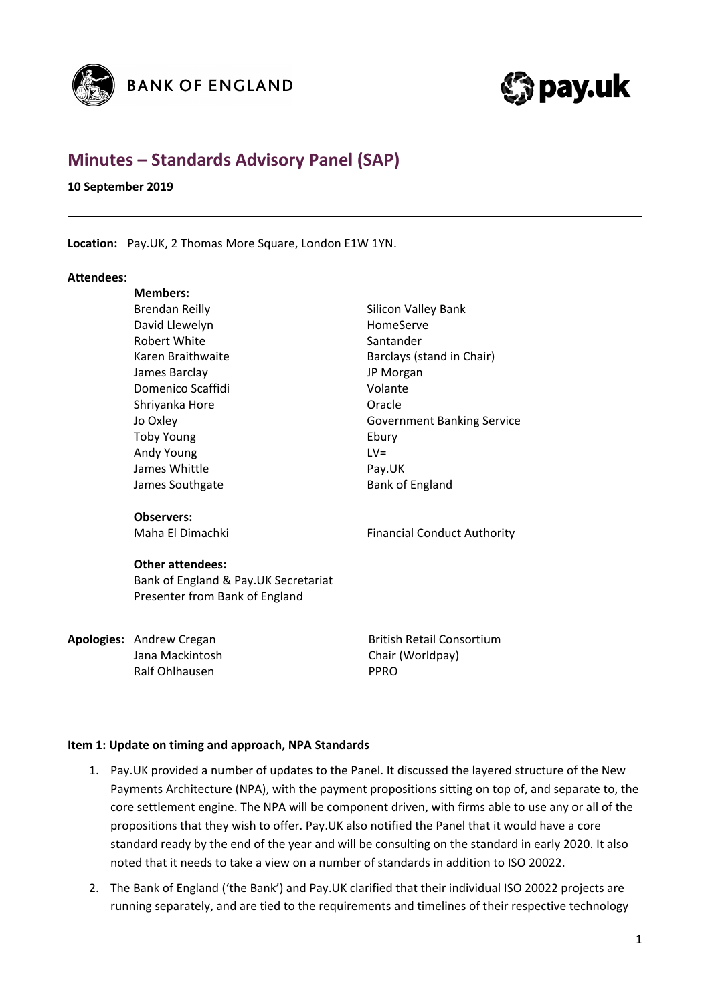



# **Minutes – Standards Advisory Panel (SAP)**

### **10 September 2019**

**Location:** Pay.UK, 2 Thomas More Square, London E1W 1YN.

#### **Attendees:**

| <b>Members:</b>                      |                                    |
|--------------------------------------|------------------------------------|
| <b>Brendan Reilly</b>                | Silicon Valley Bank                |
| David Llewelyn                       | HomeServe                          |
| <b>Robert White</b>                  | Santander                          |
| Karen Braithwaite                    | Barclays (stand in Chair)          |
| James Barclay                        | JP Morgan                          |
| Domenico Scaffidi                    | Volante                            |
| Shriyanka Hore                       | Oracle                             |
| Jo Oxley                             | <b>Government Banking Service</b>  |
| <b>Toby Young</b>                    | Ebury                              |
| Andy Young                           | $LV =$                             |
| James Whittle                        | Pay.UK                             |
| James Southgate                      | Bank of England                    |
| Observers:                           |                                    |
| Maha El Dimachki                     | <b>Financial Conduct Authority</b> |
| <b>Other attendees:</b>              |                                    |
| Bank of England & Pay.UK Secretariat |                                    |
| Presenter from Bank of England       |                                    |
|                                      |                                    |
| Apologies: Andrew Cregan             | <b>British Retail Consortium</b>   |
| Jana Mackintosh                      | Chair (Worldpay)                   |
| Ralf Ohlhausen                       | PPRO                               |
|                                      |                                    |

### **Item 1: Update on timing and approach, NPA Standards**

- 1. Pay.UK provided a number of updates to the Panel. It discussed the layered structure of the New Payments Architecture (NPA), with the payment propositions sitting on top of, and separate to, the core settlement engine. The NPA will be component driven, with firms able to use any or all of the propositions that they wish to offer. Pay.UK also notified the Panel that it would have a core standard ready by the end of the year and will be consulting on the standard in early 2020. It also noted that it needs to take a view on a number of standards in addition to ISO 20022.
- 2. The Bank of England ('the Bank') and Pay.UK clarified that their individual ISO 20022 projects are running separately, and are tied to the requirements and timelines of their respective technology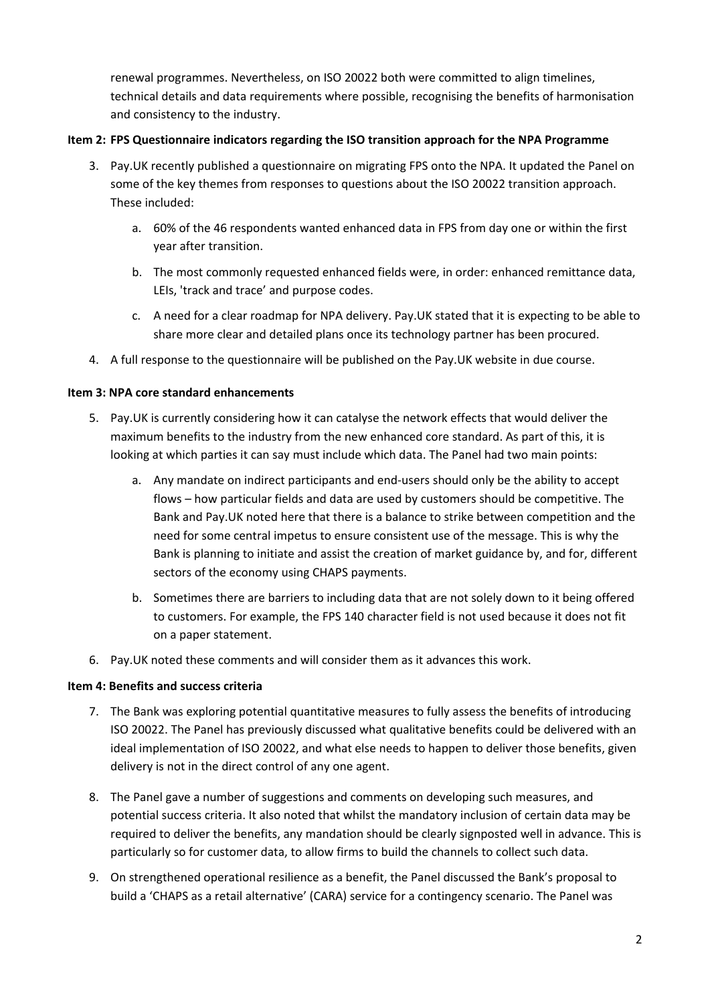renewal programmes. Nevertheless, on ISO 20022 both were committed to align timelines, technical details and data requirements where possible, recognising the benefits of harmonisation and consistency to the industry.

# **Item 2: FPS Questionnaire indicators regarding the ISO transition approach for the NPA Programme**

- 3. Pay.UK recently published a questionnaire on migrating FPS onto the NPA. It updated the Panel on some of the key themes from responses to questions about the ISO 20022 transition approach. These included:
	- a. 60% of the 46 respondents wanted enhanced data in FPS from day one or within the first year after transition.
	- b. The most commonly requested enhanced fields were, in order: enhanced remittance data, LEIs, 'track and trace' and purpose codes.
	- c. A need for a clear roadmap for NPA delivery. Pay.UK stated that it is expecting to be able to share more clear and detailed plans once its technology partner has been procured.
- 4. A full response to the questionnaire will be published on the Pay.UK website in due course.

# **Item 3: NPA core standard enhancements**

- 5. Pay.UK is currently considering how it can catalyse the network effects that would deliver the maximum benefits to the industry from the new enhanced core standard. As part of this, it is looking at which parties it can say must include which data. The Panel had two main points:
	- a. Any mandate on indirect participants and end-users should only be the ability to accept flows – how particular fields and data are used by customers should be competitive. The Bank and Pay.UK noted here that there is a balance to strike between competition and the need for some central impetus to ensure consistent use of the message. This is why the Bank is planning to initiate and assist the creation of market guidance by, and for, different sectors of the economy using CHAPS payments.
	- b. Sometimes there are barriers to including data that are not solely down to it being offered to customers. For example, the FPS 140 character field is not used because it does not fit on a paper statement.
- 6. Pay.UK noted these comments and will consider them as it advances this work.

### **Item 4: Benefits and success criteria**

- 7. The Bank was exploring potential quantitative measures to fully assess the benefits of introducing ISO 20022. The Panel has previously discussed what qualitative benefits could be delivered with an ideal implementation of ISO 20022, and what else needs to happen to deliver those benefits, given delivery is not in the direct control of any one agent.
- 8. The Panel gave a number of suggestions and comments on developing such measures, and potential success criteria. It also noted that whilst the mandatory inclusion of certain data may be required to deliver the benefits, any mandation should be clearly signposted well in advance. This is particularly so for customer data, to allow firms to build the channels to collect such data.
- 9. On strengthened operational resilience as a benefit, the Panel discussed the Bank's proposal to build a 'CHAPS as a retail alternative' (CARA) service for a contingency scenario. The Panel was